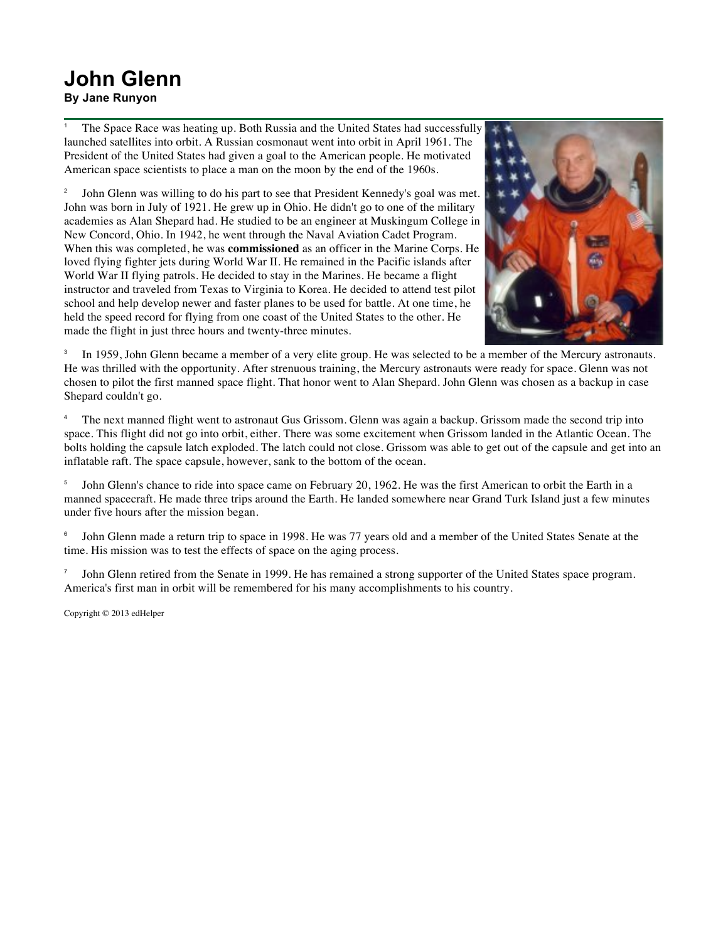## **John Glenn By Jane Runyon**

<sup>1</sup> The Space Race was heating up. Both Russia and the United States had successfully launched satellites into orbit. A Russian cosmonaut went into orbit in April 1961. The President of the United States had given a goal to the American people. He motivated American space scientists to place a man on the moon by the end of the 1960s.

<sup>2</sup> John Glenn was willing to do his part to see that President Kennedy's goal was met. John was born in July of 1921. He grew up in Ohio. He didn't go to one of the military academies as Alan Shepard had. He studied to be an engineer at Muskingum College in New Concord, Ohio. In 1942, he went through the Naval Aviation Cadet Program. When this was completed, he was **commissioned** as an officer in the Marine Corps. He loved flying fighter jets during World War II. He remained in the Pacific islands after World War II flying patrols. He decided to stay in the Marines. He became a flight instructor and traveled from Texas to Virginia to Korea. He decided to attend test pilot school and help develop newer and faster planes to be used for battle. At one time, he held the speed record for flying from one coast of the United States to the other. He made the flight in just three hours and twenty-three minutes.



<sup>3</sup> In 1959, John Glenn became a member of a very elite group. He was selected to be a member of the Mercury astronauts. He was thrilled with the opportunity. After strenuous training, the Mercury astronauts were ready for space. Glenn was not chosen to pilot the first manned space flight. That honor went to Alan Shepard. John Glenn was chosen as a backup in case Shepard couldn't go.

<sup>4</sup> The next manned flight went to astronaut Gus Grissom. Glenn was again a backup. Grissom made the second trip into space. This flight did not go into orbit, either. There was some excitement when Grissom landed in the Atlantic Ocean. The bolts holding the capsule latch exploded. The latch could not close. Grissom was able to get out of the capsule and get into an inflatable raft. The space capsule, however, sank to the bottom of the ocean.

<sup>5</sup> John Glenn's chance to ride into space came on February 20, 1962. He was the first American to orbit the Earth in a manned spacecraft. He made three trips around the Earth. He landed somewhere near Grand Turk Island just a few minutes under five hours after the mission began.

<sup>6</sup> John Glenn made a return trip to space in 1998. He was 77 years old and a member of the United States Senate at the time. His mission was to test the effects of space on the aging process.

John Glenn retired from the Senate in 1999. He has remained a strong supporter of the United States space program. America's first man in orbit will be remembered for his many accomplishments to his country.

Copyright © 2013 edHelper